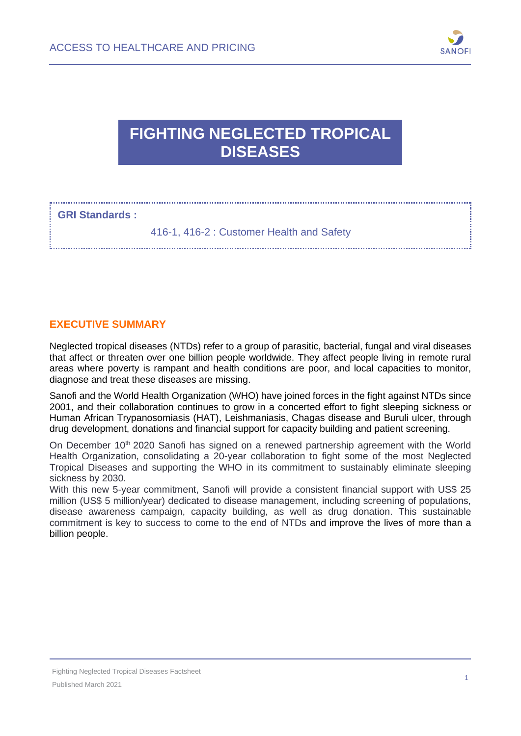

# **FIGHTING NEGLECTED TROPICAL DISEASES**

#### **GRI Standards :**

416-1, 416-2 : Customer Health and Safety

#### **EXECUTIVE SUMMARY**

Neglected tropical diseases (NTDs) refer to a group of parasitic, bacterial, fungal and viral diseases that affect or threaten over one billion people worldwide. They affect people living in remote rural areas where poverty is rampant and health conditions are poor, and local capacities to monitor, diagnose and treat these diseases are missing.

Sanofi and the World Health Organization (WHO) have joined forces in the fight against NTDs since 2001, and their collaboration continues to grow in a concerted effort to fight sleeping sickness or Human African Trypanosomiasis (HAT), Leishmaniasis, Chagas disease and Buruli ulcer, through drug development, donations and financial support for capacity building and patient screening.

On December 10<sup>th</sup> 2020 Sanofi has signed on a renewed partnership agreement with the World Health Organization, consolidating a 20-year collaboration to fight some of the most Neglected Tropical Diseases and supporting the WHO in its commitment to sustainably eliminate sleeping sickness by 2030.

With this new 5-year commitment, Sanofi will provide a consistent financial support with US\$ 25 million (US\$ 5 million/year) dedicated to disease management, including screening of populations, disease awareness campaign, capacity building, as well as drug donation. This sustainable commitment is key to success to come to the end of NTDs and improve the lives of more than a billion people.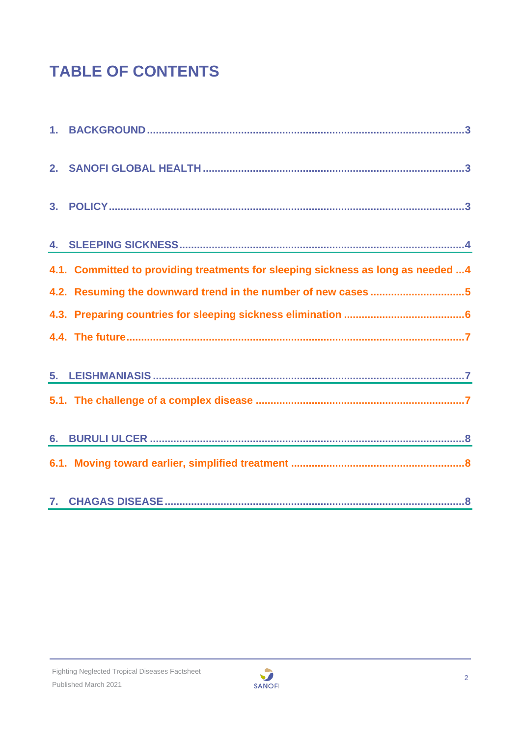# **TABLE OF CONTENTS**

| 4.1. Committed to providing treatments for sleeping sickness as long as needed  4 |
|-----------------------------------------------------------------------------------|
| 4.2. Resuming the downward trend in the number of new cases 5                     |
|                                                                                   |
|                                                                                   |
|                                                                                   |
|                                                                                   |
|                                                                                   |
|                                                                                   |
|                                                                                   |

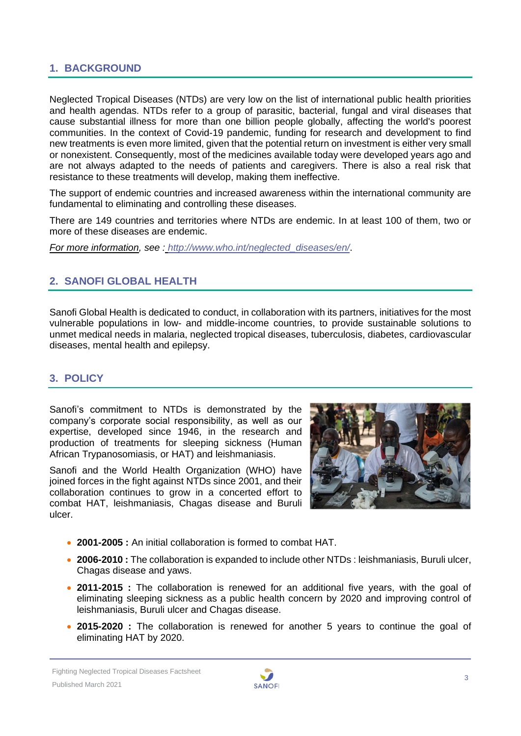#### <span id="page-2-0"></span>**1. BACKGROUND**

Neglected Tropical Diseases (NTDs) are very low on the list of international public health priorities and health agendas. NTDs refer to a group of parasitic, bacterial, fungal and viral diseases that cause substantial illness for more than one billion people globally, affecting the world's poorest communities. In the context of Covid-19 pandemic, funding for research and development to find new treatments is even more limited, given that the potential return on investment is either very small or nonexistent. Consequently, most of the medicines available today were developed years ago and are not always adapted to the needs of patients and caregivers. There is also a real risk that resistance to these treatments will develop, making them ineffective.

The support of endemic countries and increased awareness within the international community are fundamental to eliminating and controlling these diseases.

There are 149 countries and territories where NTDs are endemic. In at least 100 of them, two or more of these diseases are endemic.

*For more information, see : [http://www.who.int/neglected\\_diseases/en/](http://www.who.int/neglected_diseases/en/)*.

### <span id="page-2-1"></span>**2. SANOFI GLOBAL HEALTH**

Sanofi Global Health is dedicated to conduct, in collaboration with its partners, initiatives for the most vulnerable populations in low- and middle-income countries, to provide sustainable solutions to unmet medical needs in malaria, neglected tropical diseases, tuberculosis, diabetes, cardiovascular diseases, mental health and epilepsy.

#### <span id="page-2-2"></span>**3. POLICY**

Sanofi's commitment to NTDs is demonstrated by the company's corporate social responsibility, as well as our expertise, developed since 1946, in the research and production of treatments for sleeping sickness (Human African Trypanosomiasis, or HAT) and leishmaniasis.

Sanofi and the World Health Organization (WHO) have joined forces in the fight against NTDs since 2001, and their collaboration continues to grow in a concerted effort to combat HAT, leishmaniasis, Chagas disease and Buruli ulcer.



- **2001-2005 :** An initial collaboration is formed to combat HAT.
- **2006-2010 :** The collaboration is expanded to include other NTDs : leishmaniasis, Buruli ulcer, Chagas disease and yaws.
- **2011-2015 :** The collaboration is renewed for an additional five years, with the goal of eliminating sleeping sickness as a public health concern by 2020 and improving control of leishmaniasis, Buruli ulcer and Chagas disease.
- **2015-2020 :** The collaboration is renewed for another 5 years to continue the goal of eliminating HAT by 2020.

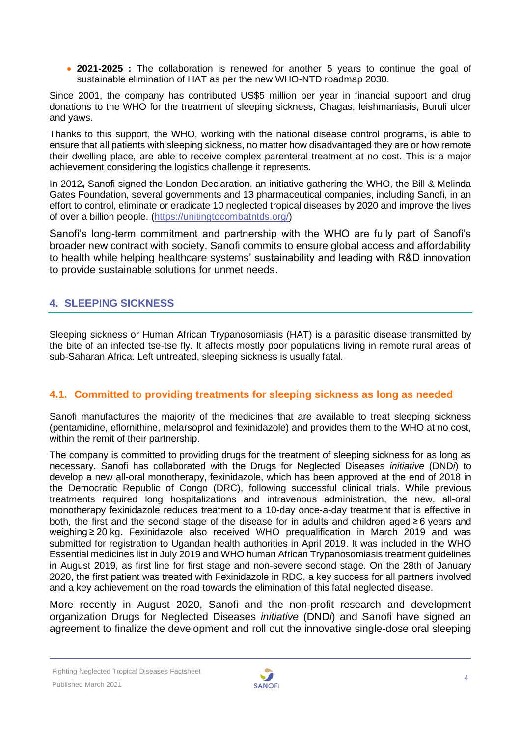• **2021-2025 :** The collaboration is renewed for another 5 years to continue the goal of sustainable elimination of HAT as per the new WHO-NTD roadmap 2030.

Since 2001, the company has contributed US\$5 million per year in financial support and drug donations to the WHO for the treatment of sleeping sickness, Chagas, leishmaniasis, Buruli ulcer and yaws.

Thanks to this support, the WHO, working with the national disease control programs, is able to ensure that all patients with sleeping sickness, no matter how disadvantaged they are or how remote their dwelling place, are able to receive complex parenteral treatment at no cost. This is a major achievement considering the logistics challenge it represents.

In 2012**,** Sanofi signed the London Declaration, an initiative gathering the WHO, the Bill & Melinda Gates Foundation, several governments and 13 pharmaceutical companies, including Sanofi, in an effort to control, eliminate or eradicate 10 neglected tropical diseases by 2020 and improve the lives of over a billion people. [\(https://unitingtocombatntds.org/\)](https://unitingtocombatntds.org/)

Sanofi's long-term commitment and partnership with the WHO are fully part of Sanofi's broader new contract with society. Sanofi commits to ensure global access and affordability to health while helping healthcare systems' sustainability and leading with R&D innovation to provide sustainable solutions for unmet needs.

# <span id="page-3-0"></span>**4. SLEEPING SICKNESS**

Sleeping sickness or Human African Trypanosomiasis (HAT) is a parasitic disease transmitted by the bite of an infected tse-tse fly. It affects mostly poor populations living in remote rural areas of sub-Saharan Africa. Left untreated, sleeping sickness is usually fatal.

# <span id="page-3-1"></span>**4.1. Committed to providing treatments for sleeping sickness as long as needed**

Sanofi manufactures the majority of the medicines that are available to treat sleeping sickness (pentamidine, eflornithine, melarsoprol and fexinidazole) and provides them to the WHO at no cost, within the remit of their partnership.

The company is committed to providing drugs for the treatment of sleeping sickness for as long as necessary. Sanofi has collaborated with the Drugs for Neglected Diseases *initiative* (DND*i*) to develop a new all-oral monotherapy, fexinidazole, which has been approved at the end of 2018 in the Democratic Republic of Congo (DRC), following successful clinical trials. While previous treatments required long hospitalizations and intravenous administration, the new, all-oral monotherapy fexinidazole reduces treatment to a 10-day once-a-day treatment that is effective in both, the first and the second stage of the disease for in adults and children aged ≥ 6 years and weighing ≥ 20 kg. Fexinidazole also received WHO prequalification in March 2019 and was submitted for registration to Ugandan health authorities in April 2019. It was included in the WHO Essential medicines list in July 2019 and WHO human African Trypanosomiasis treatment guidelines in August 2019, as first line for first stage and non-severe second stage. On the 28th of January 2020, the first patient was treated with Fexinidazole in RDC, a key success for all partners involved and a key achievement on the road towards the elimination of this fatal neglected disease.

More recently in August 2020, Sanofi and the non-profit research and development organization Drugs for Neglected Diseases *initiative* (DND*i*) and Sanofi have signed an agreement to finalize the development and roll out the innovative single-dose oral sleeping

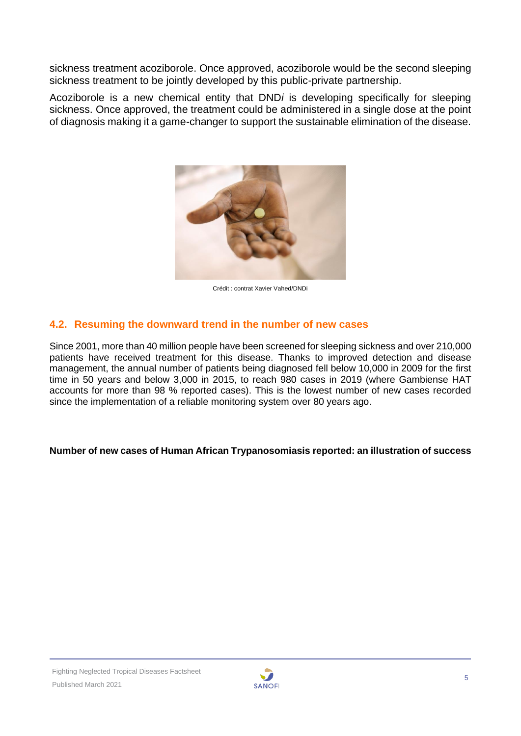sickness treatment acoziborole. Once approved, acoziborole would be the second sleeping sickness treatment to be jointly developed by this public-private partnership.

Acoziborole is a new chemical entity that DND*i* is developing specifically for sleeping sickness. Once approved, the treatment could be administered in a single dose at the point of diagnosis making it a game-changer to support the sustainable elimination of the disease.



Crédit : contrat Xavier Vahed/DNDi

#### <span id="page-4-0"></span>**4.2. Resuming the downward trend in the number of new cases**

Since 2001, more than 40 million people have been screened for sleeping sickness and over 210,000 patients have received treatment for this disease. Thanks to improved detection and disease management, the annual number of patients being diagnosed fell below 10,000 in 2009 for the first time in 50 years and below 3,000 in 2015, to reach 980 cases in 2019 (where Gambiense HAT accounts for more than 98 % reported cases). This is the lowest number of new cases recorded since the implementation of a reliable monitoring system over 80 years ago.

#### **Number of new cases of Human African Trypanosomiasis reported: an illustration of success**

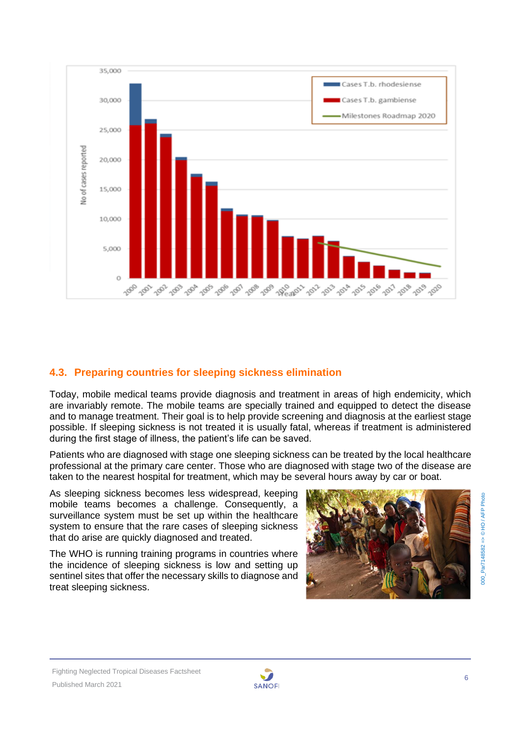

# <span id="page-5-0"></span>**4.3. Preparing countries for sleeping sickness elimination**

Today, mobile medical teams provide diagnosis and treatment in areas of high endemicity, which are invariably remote. The mobile teams are specially trained and equipped to detect the disease and to manage treatment. Their goal is to help provide screening and diagnosis at the earliest stage possible. If sleeping sickness is not treated it is usually fatal, whereas if treatment is administered during the first stage of illness, the patient's life can be saved.

Patients who are diagnosed with stage one sleeping sickness can be treated by the local healthcare professional at the primary care center. Those who are diagnosed with stage two of the disease are taken to the nearest hospital for treatment, which may be several hours away by car or boat.

As sleeping sickness becomes less widespread, keeping mobile teams becomes a challenge. Consequently, a surveillance system must be set up within the healthcare system to ensure that the rare cases of sleeping sickness that do arise are quickly diagnosed and treated.

The WHO is running training programs in countries where the incidence of sleeping sickness is low and setting up sentinel sites that offer the necessary skills to diagnose and treat sleeping sickness.



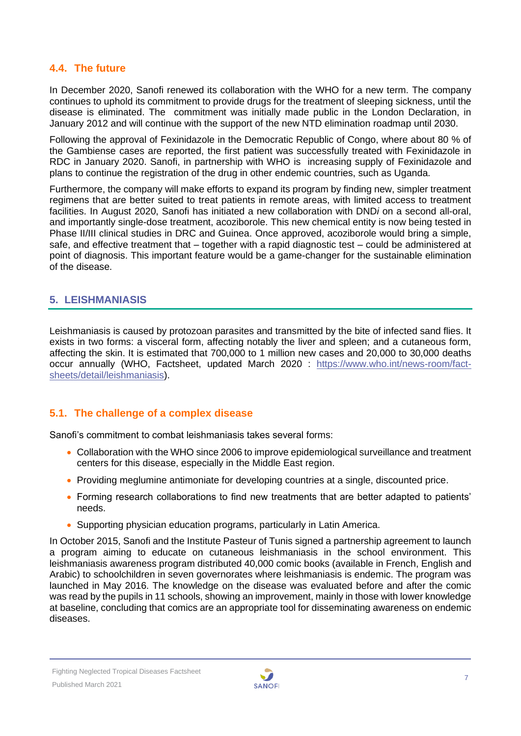#### <span id="page-6-0"></span>**4.4. The future**

In December 2020, Sanofi renewed its collaboration with the WHO for a new term. The company continues to uphold its commitment to provide drugs for the treatment of sleeping sickness, until the disease is eliminated. The commitment was initially made public in the London Declaration, in January 2012 and will continue with the support of the new NTD elimination roadmap until 2030.

Following the approval of Fexinidazole in the Democratic Republic of Congo, where about 80 % of the Gambiense cases are reported, the first patient was successfully treated with Fexinidazole in RDC in January 2020. Sanofi, in partnership with WHO is increasing supply of Fexinidazole and plans to continue the registration of the drug in other endemic countries, such as Uganda.

Furthermore, the company will make efforts to expand its program by finding new, simpler treatment regimens that are better suited to treat patients in remote areas, with limited access to treatment facilities. In August 2020, Sanofi has initiated a new collaboration with DND*i* on a second all-oral, and importantly single-dose treatment, acoziborole. This new chemical entity is now being tested in Phase II/III clinical studies in DRC and Guinea. Once approved, acoziborole would bring a simple, safe, and effective treatment that – together with a rapid diagnostic test – could be administered at point of diagnosis. This important feature would be a game-changer for the sustainable elimination of the disease.

#### <span id="page-6-1"></span>**5. LEISHMANIASIS**

Leishmaniasis is caused by protozoan parasites and transmitted by the bite of infected sand flies. It exists in two forms: a visceral form, affecting notably the liver and spleen; and a cutaneous form, affecting the skin. It is estimated that 700,000 to 1 million new cases and 20,000 to 30,000 deaths occur annually (WHO, Factsheet, updated March 2020 : [https://www.who.int/news-room/fact](https://www.who.int/news-room/fact-sheets/detail/leishmaniasis)[sheets/detail/leishmaniasis\)](https://www.who.int/news-room/fact-sheets/detail/leishmaniasis).

#### <span id="page-6-2"></span>**5.1. The challenge of a complex disease**

Sanofi's commitment to combat leishmaniasis takes several forms:

- Collaboration with the WHO since 2006 to improve epidemiological surveillance and treatment centers for this disease, especially in the Middle East region.
- Providing meglumine antimoniate for developing countries at a single, discounted price.
- Forming research collaborations to find new treatments that are better adapted to patients' needs.
- Supporting physician education programs, particularly in Latin America.

In October 2015, Sanofi and the Institute Pasteur of Tunis signed a partnership agreement to launch a program aiming to educate on cutaneous leishmaniasis in the school environment. This leishmaniasis awareness program distributed 40,000 comic books (available in French, English and Arabic) to schoolchildren in seven governorates where leishmaniasis is endemic. The program was launched in May 2016. The knowledge on the disease was evaluated before and after the comic was read by the pupils in 11 schools, showing an improvement, mainly in those with lower knowledge at baseline, concluding that comics are an appropriate tool for disseminating awareness on endemic diseases.